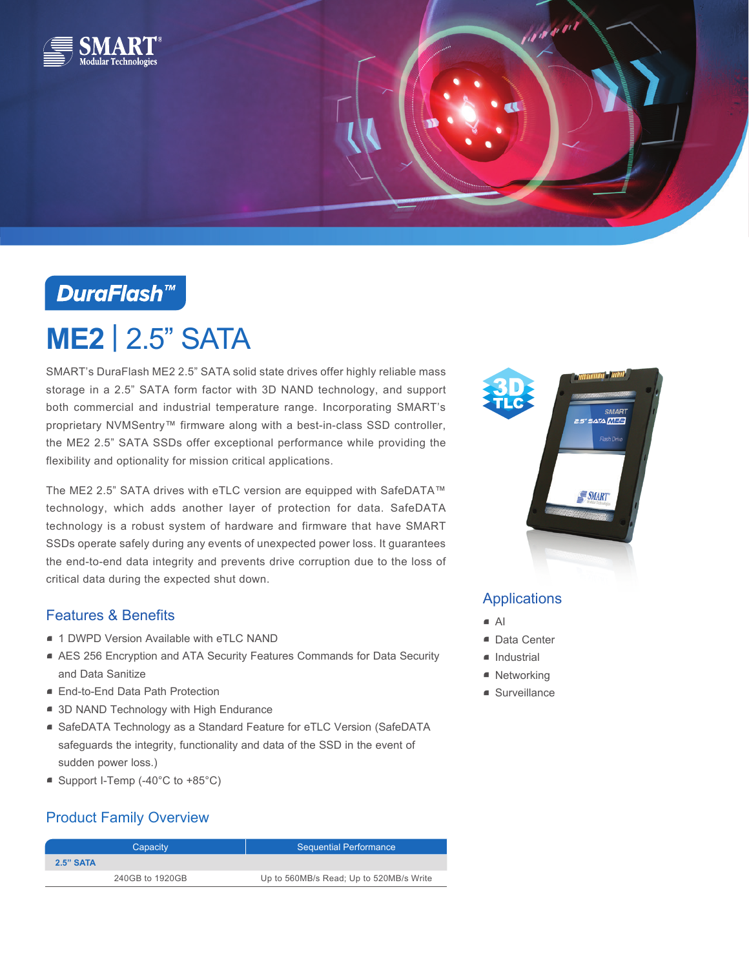

## **DuraFlash™**

# **ME2** | 2.5" SATA

SMART's DuraFlash ME2 2.5" SATA solid state drives offer highly reliable mass storage in a 2.5" SATA form factor with 3D NAND technology, and support both commercial and industrial temperature range. Incorporating SMART's proprietary NVMSentry™ firmware along with a best-in-class SSD controller, the ME2 2.5" SATA SSDs offer exceptional performance while providing the flexibility and optionality for mission critical applications.

The ME2 2.5" SATA drives with eTLC version are equipped with SafeDATA™ technology, which adds another layer of protection for data. SafeDATA technology is a robust system of hardware and firmware that have SMART SSDs operate safely during any events of unexpected power loss. It guarantees the end-to-end data integrity and prevents drive corruption due to the loss of critical data during the expected shut down.

#### Features & Benefits

- 1 DWPD Version Available with eTLC NAND
- AES 256 Encryption and ATA Security Features Commands for Data Security and Data Sanitize
- End-to-End Data Path Protection
- 3D NAND Technology with High Endurance
- SafeDATA Technology as a Standard Feature for eTLC Version (SafeDATA safeguards the integrity, functionality and data of the SSD in the event of sudden power loss.)
- Support I-Temp (-40°C to +85°C)

## Product Family Overview

| Capacity    |                 | <b>Sequential Performance</b>           |  |
|-------------|-----------------|-----------------------------------------|--|
| $2.5"$ SATA |                 |                                         |  |
|             | 240GB to 1920GB | Up to 560MB/s Read; Up to 520MB/s Write |  |



alahari 1

#### Applications

- $\blacksquare$  Al
- Data Center
- Industrial
- Networking
- Surveillance